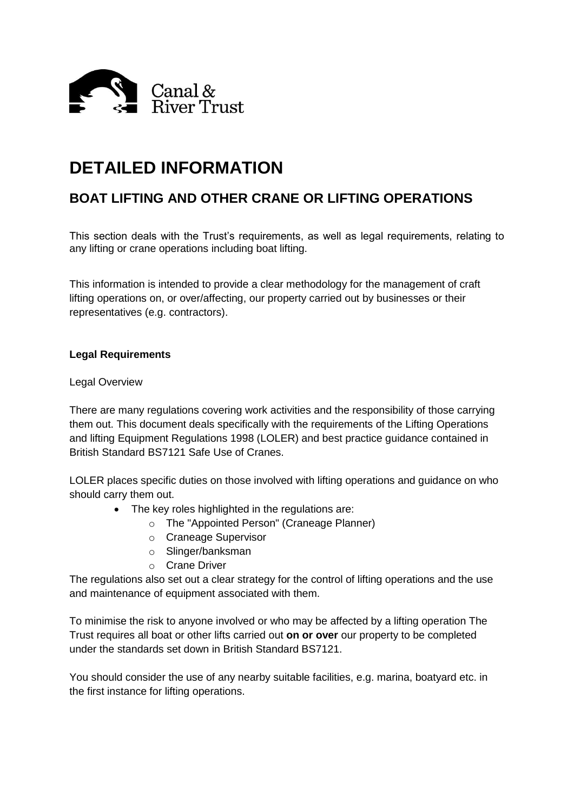

# **DETAILED INFORMATION**

# **BOAT LIFTING AND OTHER CRANE OR LIFTING OPERATIONS**

This section deals with the Trust's requirements, as well as legal requirements, relating to any lifting or crane operations including boat lifting.

This information is intended to provide a clear methodology for the management of craft lifting operations on, or over/affecting, our property carried out by businesses or their representatives (e.g. contractors).

#### **Legal Requirements**

#### Legal Overview

There are many regulations covering work activities and the responsibility of those carrying them out. This document deals specifically with the requirements of the Lifting Operations and lifting Equipment Regulations 1998 (LOLER) and best practice guidance contained in British Standard BS7121 Safe Use of Cranes.

LOLER places specific duties on those involved with lifting operations and guidance on who should carry them out.

- The key roles highlighted in the regulations are:
	- o The "Appointed Person" (Craneage Planner)
	- o Craneage Supervisor
	- o Slinger/banksman
	- o Crane Driver

The regulations also set out a clear strategy for the control of lifting operations and the use and maintenance of equipment associated with them.

To minimise the risk to anyone involved or who may be affected by a lifting operation The Trust requires all boat or other lifts carried out **on or over** our property to be completed under the standards set down in British Standard BS7121.

You should consider the use of any nearby suitable facilities, e.g. marina, boatyard etc. in the first instance for lifting operations.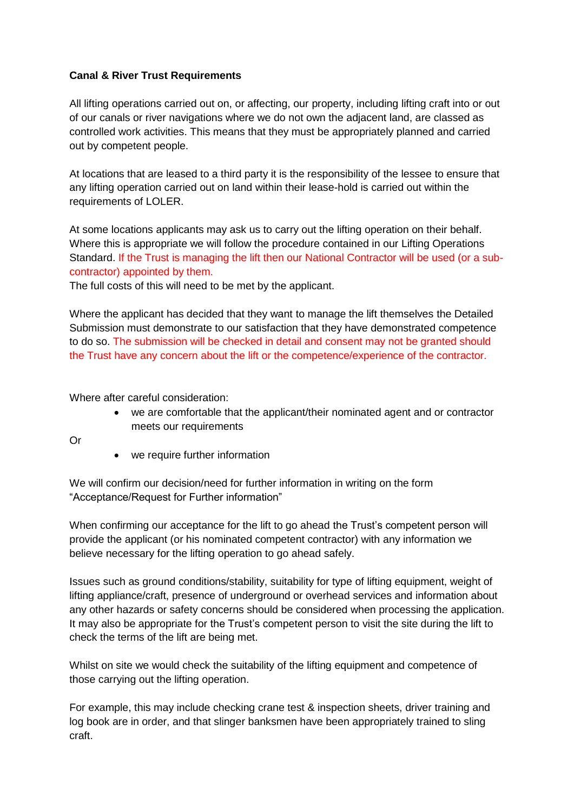## **Canal & River Trust Requirements**

All lifting operations carried out on, or affecting, our property, including lifting craft into or out of our canals or river navigations where we do not own the adjacent land, are classed as controlled work activities. This means that they must be appropriately planned and carried out by competent people.

At locations that are leased to a third party it is the responsibility of the lessee to ensure that any lifting operation carried out on land within their lease-hold is carried out within the requirements of LOLER.

At some locations applicants may ask us to carry out the lifting operation on their behalf. Where this is appropriate we will follow the procedure contained in our Lifting Operations Standard. If the Trust is managing the lift then our National Contractor will be used (or a subcontractor) appointed by them.

The full costs of this will need to be met by the applicant.

Where the applicant has decided that they want to manage the lift themselves the Detailed Submission must demonstrate to our satisfaction that they have demonstrated competence to do so. The submission will be checked in detail and consent may not be granted should the Trust have any concern about the lift or the competence/experience of the contractor.

Where after careful consideration:

 we are comfortable that the applicant/their nominated agent and or contractor meets our requirements

Or

• we require further information

We will confirm our decision/need for further information in writing on the form "Acceptance/Request for Further information"

When confirming our acceptance for the lift to go ahead the Trust's competent person will provide the applicant (or his nominated competent contractor) with any information we believe necessary for the lifting operation to go ahead safely.

Issues such as ground conditions/stability, suitability for type of lifting equipment, weight of lifting appliance/craft, presence of underground or overhead services and information about any other hazards or safety concerns should be considered when processing the application. It may also be appropriate for the Trust's competent person to visit the site during the lift to check the terms of the lift are being met.

Whilst on site we would check the suitability of the lifting equipment and competence of those carrying out the lifting operation.

For example, this may include checking crane test & inspection sheets, driver training and log book are in order, and that slinger banksmen have been appropriately trained to sling craft.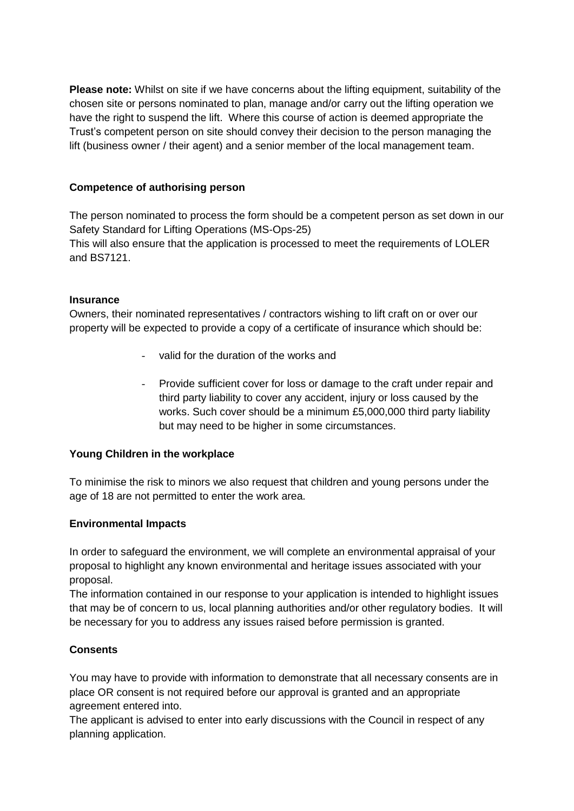**Please note:** Whilst on site if we have concerns about the lifting equipment, suitability of the chosen site or persons nominated to plan, manage and/or carry out the lifting operation we have the right to suspend the lift.Where this course of action is deemed appropriate the Trust's competent person on site should convey their decision to the person managing the lift (business owner / their agent) and a senior member of the local management team.

#### **Competence of authorising person**

The person nominated to process the form should be a competent person as set down in our Safety Standard for Lifting Operations (MS-Ops-25)

This will also ensure that the application is processed to meet the requirements of LOLER and BS7121.

#### **Insurance**

Owners, their nominated representatives / contractors wishing to lift craft on or over our property will be expected to provide a copy of a certificate of insurance which should be:

- valid for the duration of the works and
- Provide sufficient cover for loss or damage to the craft under repair and third party liability to cover any accident, injury or loss caused by the works. Such cover should be a minimum £5,000,000 third party liability but may need to be higher in some circumstances.

#### **Young Children in the workplace**

To minimise the risk to minors we also request that children and young persons under the age of 18 are not permitted to enter the work area.

#### **Environmental Impacts**

In order to safeguard the environment, we will complete an environmental appraisal of your proposal to highlight any known environmental and heritage issues associated with your proposal.

The information contained in our response to your application is intended to highlight issues that may be of concern to us, local planning authorities and/or other regulatory bodies. It will be necessary for you to address any issues raised before permission is granted.

## **Consents**

You may have to provide with information to demonstrate that all necessary consents are in place OR consent is not required before our approval is granted and an appropriate agreement entered into.

The applicant is advised to enter into early discussions with the Council in respect of any planning application.